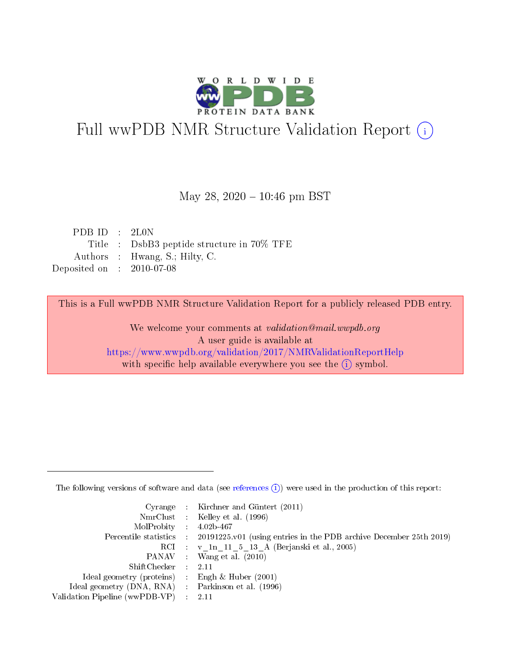

# Full wwPDB NMR Structure Validation Report (i)

### May 28,  $2020 - 10:46$  pm BST

| PDBID : 2L0N                               |
|--------------------------------------------|
| Title : DsbB3 peptide structure in 70% TFE |
| Authors : Hwang, S.; Hilty, C.             |
| Deposited on : $2010-07-08$                |
|                                            |

This is a Full wwPDB NMR Structure Validation Report for a publicly released PDB entry.

We welcome your comments at *validation@mail.wwpdb.org* A user guide is available at <https://www.wwpdb.org/validation/2017/NMRValidationReportHelp> with specific help available everywhere you see the  $(i)$  symbol.

The following versions of software and data (see [references](https://www.wwpdb.org/validation/2017/NMRValidationReportHelp#references)  $(1)$ ) were used in the production of this report:

|                                                     | Cyrange : Kirchner and Güntert $(2011)$                                                    |
|-----------------------------------------------------|--------------------------------------------------------------------------------------------|
|                                                     | NmrClust : Kelley et al. (1996)                                                            |
| $MolProbability$ 4.02b-467                          |                                                                                            |
|                                                     | Percentile statistics : 20191225.v01 (using entries in the PDB archive December 25th 2019) |
|                                                     | RCI : v 1n 11 5 13 A (Berjanski et al., 2005)                                              |
|                                                     | PANAV Wang et al. (2010)                                                                   |
| $ShiftChecker$ 2.11                                 |                                                                                            |
| Ideal geometry (proteins) : Engh $\&$ Huber (2001)  |                                                                                            |
| Ideal geometry (DNA, RNA) : Parkinson et al. (1996) |                                                                                            |
| Validation Pipeline (wwPDB-VP)                      | $\sim 2.11$                                                                                |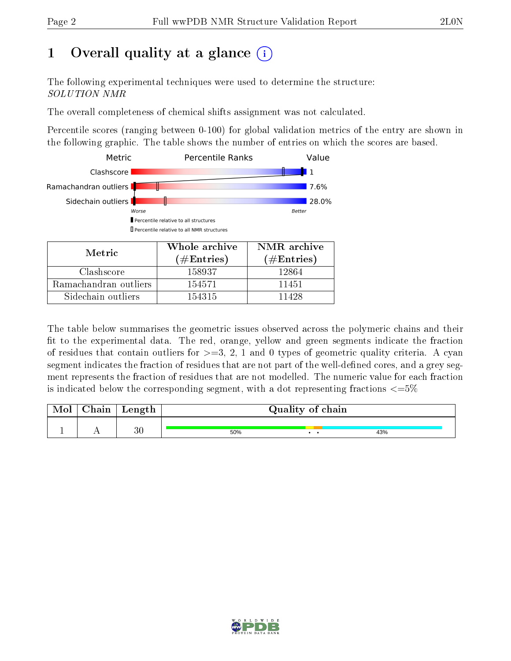# 1 [O](https://www.wwpdb.org/validation/2017/NMRValidationReportHelp#overall_quality)verall quality at a glance (i)

The following experimental techniques were used to determine the structure: SOLUTION NMR

The overall completeness of chemical shifts assignment was not calculated.

Percentile scores (ranging between 0-100) for global validation metrics of the entry are shown in the following graphic. The table shows the number of entries on which the scores are based.



Sidechain outliers 154315 11428

The table below summarises the geometric issues observed across the polymeric chains and their fit to the experimental data. The red, orange, yellow and green segments indicate the fraction of residues that contain outliers for  $>=3, 2, 1$  and 0 types of geometric quality criteria. A cyan segment indicates the fraction of residues that are not part of the well-defined cores, and a grey segment represents the fraction of residues that are not modelled. The numeric value for each fraction is indicated below the corresponding segment, with a dot representing fractions  $\epsilon = 5\%$ 

| Mol | ${\bf Chain}$ | Length |     | Quality of chain |     |
|-----|---------------|--------|-----|------------------|-----|
|     |               | 30     |     |                  |     |
|     |               |        | 50% |                  | 43% |

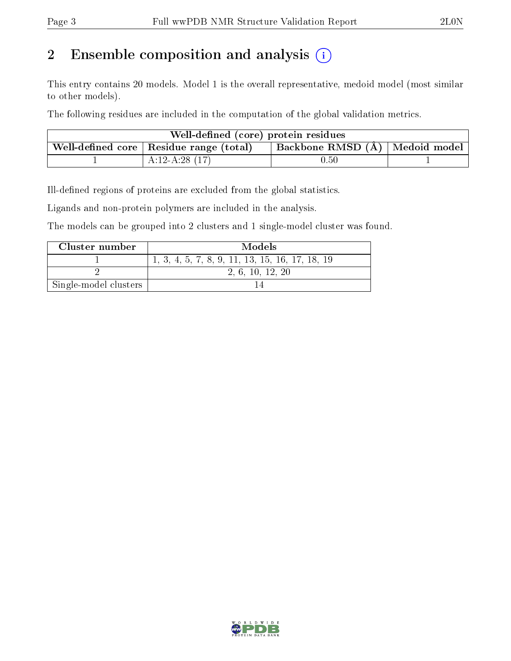# 2 Ensemble composition and analysis  $(i)$

This entry contains 20 models. Model 1 is the overall representative, medoid model (most similar to other models).

The following residues are included in the computation of the global validation metrics.

| Well-defined (core) protein residues                                                          |                 |          |  |  |  |
|-----------------------------------------------------------------------------------------------|-----------------|----------|--|--|--|
| $\perp$ Backbone RMSD $(A)$   Medoid model<br>Well-defined core $\vert$ Residue range (total) |                 |          |  |  |  |
|                                                                                               | $A:12-A:28(17)$ | $0.50\,$ |  |  |  |

Ill-defined regions of proteins are excluded from the global statistics.

Ligands and non-protein polymers are included in the analysis.

The models can be grouped into 2 clusters and 1 single-model cluster was found.

| Cluster number        | <b>Models</b>                                   |
|-----------------------|-------------------------------------------------|
|                       | 1, 3, 4, 5, 7, 8, 9, 11, 13, 15, 16, 17, 18, 19 |
|                       | 2, 6, 10, 12, 20                                |
| Single-model clusters |                                                 |

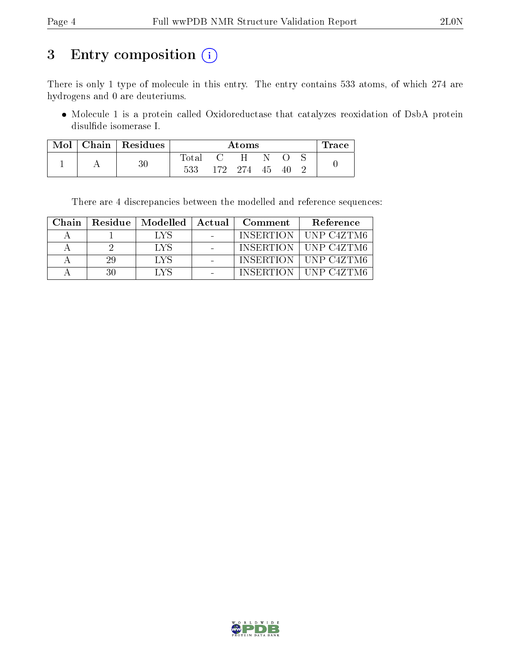# 3 Entry composition (i)

There is only 1 type of molecule in this entry. The entry contains 533 atoms, of which 274 are hydrogens and 0 are deuteriums.

 Molecule 1 is a protein called Oxidoreductase that catalyzes reoxidation of DsbA protein disulde isomerase I.

| Mol | $\mid$ Chain $\mid$ Residues | Atoms |     |       |    |    | $\operatorname{Trace}$ |  |
|-----|------------------------------|-------|-----|-------|----|----|------------------------|--|
|     |                              | Total |     | H     |    |    |                        |  |
|     | $30\,$                       | 533   | 172 | - 274 | 45 | 40 |                        |  |

There are 4 discrepancies between the modelled and reference sequences:

| Chain |     |            | Residue   Modelled   Actual   Comment | Reference              |
|-------|-----|------------|---------------------------------------|------------------------|
|       |     | T.YS       |                                       | INSERTION   UNP C4ZTM6 |
|       |     | <b>IVS</b> |                                       | INSERTION   UNP C4ZTM6 |
|       | -29 | T.VS       |                                       | INSERTION   UNP C4ZTM6 |
|       | 30  | I VS       |                                       | INSERTION   UNP C4ZTM6 |

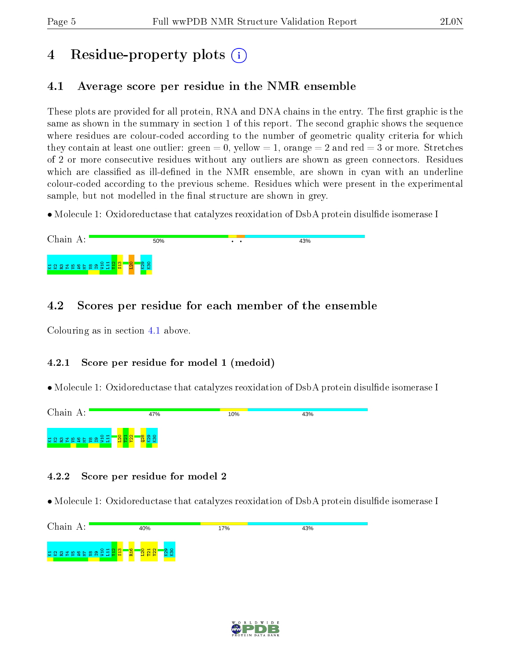# 4 Residue-property plots  $\binom{1}{1}$

## <span id="page-4-0"></span>4.1 Average score per residue in the NMR ensemble

These plots are provided for all protein, RNA and DNA chains in the entry. The first graphic is the same as shown in the summary in section 1 of this report. The second graphic shows the sequence where residues are colour-coded according to the number of geometric quality criteria for which they contain at least one outlier: green  $= 0$ , yellow  $= 1$ , orange  $= 2$  and red  $= 3$  or more. Stretches of 2 or more consecutive residues without any outliers are shown as green connectors. Residues which are classified as ill-defined in the NMR ensemble, are shown in cyan with an underline colour-coded according to the previous scheme. Residues which were present in the experimental sample, but not modelled in the final structure are shown in grey.

• Molecule 1: Oxidoreductase that catalyzes reoxidation of DsbA protein disulfide isomerase I



## 4.2 Scores per residue for each member of the ensemble

Colouring as in section [4.1](#page-4-0) above.

### 4.2.1 Score per residue for model 1 (medoid)

• Molecule 1: Oxidoreductase that catalyzes reoxidation of DsbA protein disulfide isomerase I



### 4.2.2 Score per residue for model 2



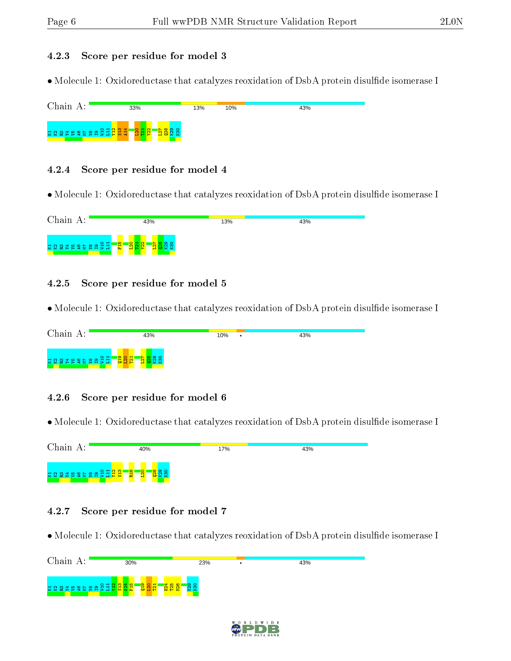#### 4.2.3 Score per residue for model 3

• Molecule 1: Oxidoreductase that catalyzes reoxidation of DsbA protein disulfide isomerase I

| Chain A:                             | 33%               | 13% | 10% | 43% |
|--------------------------------------|-------------------|-----|-----|-----|
| ដ្ឋ ដ្ឋ ដូង តូម តូម តូម <sub>ដ</sub> | $\circ$<br>$\sim$ |     |     |     |

#### 4.2.4 Score per residue for model 4

• Molecule 1: Oxidoreductase that catalyzes reoxidation of DsbA protein disulfide isomerase I



#### 4.2.5 Score per residue for model 5

• Molecule 1: Oxidoreductase that catalyzes reoxidation of DsbA protein disulfide isomerase I



#### 4.2.6 Score per residue for model 6

• Molecule 1: Oxidoreductase that catalyzes reoxidation of DsbA protein disulfide isomerase I



#### 4.2.7 Score per residue for model 7



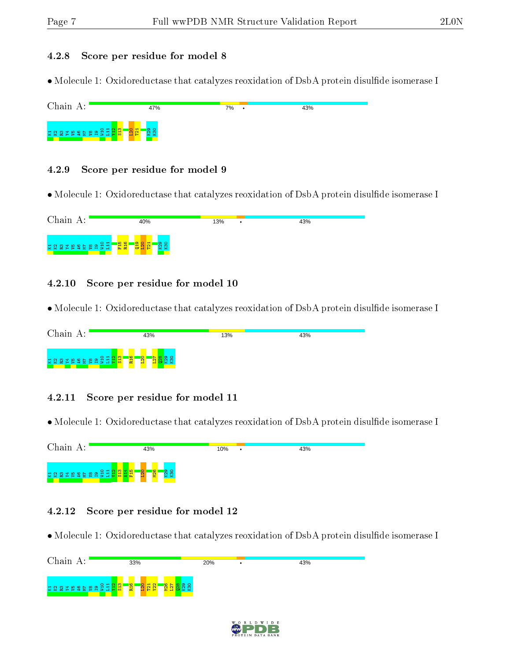#### 4.2.8 Score per residue for model 8

• Molecule 1: Oxidoreductase that catalyzes reoxidation of DsbA protein disulfide isomerase I



#### 4.2.9 Score per residue for model 9

• Molecule 1: Oxidoreductase that catalyzes reoxidation of DsbA protein disulfide isomerase I



#### 4.2.10 Score per residue for model 10

• Molecule 1: Oxidoreductase that catalyzes reoxidation of DsbA protein disulfide isomerase I



#### 4.2.11 Score per residue for model 11

• Molecule 1: Oxidoreductase that catalyzes reoxidation of DsbA protein disulfide isomerase I



#### 4.2.12 Score per residue for model 12

| Chain A:                 | 33%                                                      | 20% | 43% |
|--------------------------|----------------------------------------------------------|-----|-----|
| <u>ងស្តងដេកទី និងដូង</u> | $Q_H$<br><b>R<sub>16</sub></b><br>$\mathbf{N}$<br>œ<br>× |     |     |

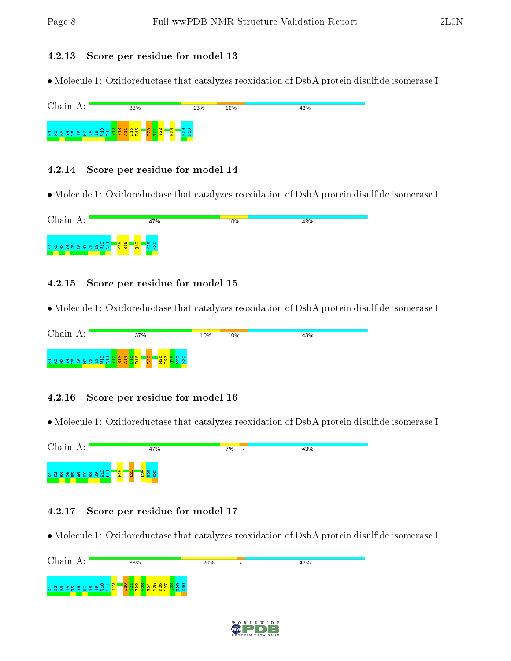#### 4.2.13 Score per residue for model 13

• Molecule 1: Oxidoreductase that catalyzes reoxidation of DsbA protein disulfide isomerase I

| Chain A:                              | 33%                     | 13% | 10% | 43% |
|---------------------------------------|-------------------------|-----|-----|-----|
| <b>WWWWWWWWWWWWWWWWWWWWWWWWWWWWWW</b> | <b>N26</b><br>٥<br>입업 읽 |     |     |     |

#### 4.2.14 Score per residue for model 14

• Molecule 1: Oxidoreductase that catalyzes reoxidation of DsbA protein disulfide isomerase I



#### 4.2.15 Score per residue for model 15

• Molecule 1: Oxidoreductase that catalyzes reoxidation of DsbA protein disulfide isomerase I



#### 4.2.16 Score per residue for model 16

• Molecule 1: Oxidoreductase that catalyzes reoxidation of DsbA protein disulfide isomerase I



#### 4.2.17 Score per residue for model 17

| Chain A:                          | 33% | 20% | 43% |
|-----------------------------------|-----|-----|-----|
| <b>GQQXBQGEBQQI<mark>Q</mark></b> | o   |     |     |

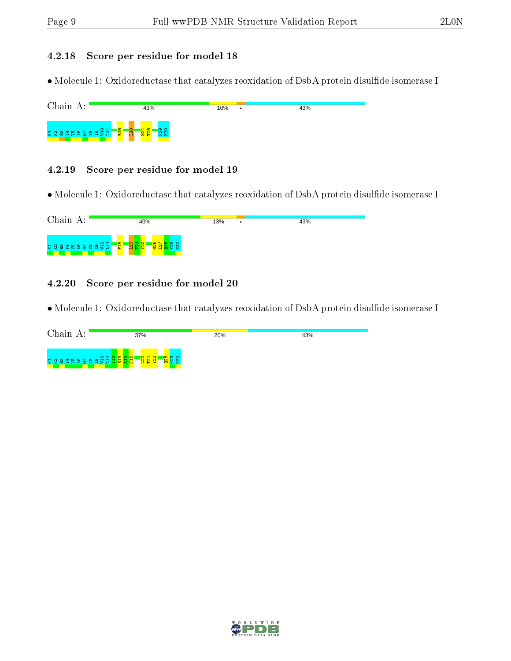#### 4.2.18 Score per residue for model 18

• Molecule 1: Oxidoreductase that catalyzes reoxidation of DsbA protein disulfide isomerase I

| Chain A:                  |                             | 43%                           | 10% | ٠ | 43% |
|---------------------------|-----------------------------|-------------------------------|-----|---|-----|
| E E a a a a a a a a a a a | R <sub>16</sub><br><b>P</b> | $\frac{124}{125}$<br>$\sigma$ |     |   |     |

#### 4.2.19 Score per residue for model 19

• Molecule 1: Oxidoreductase that catalyzes reoxidation of DsbA protein disulfide isomerase I



#### 4.2.20 Score per residue for model 20

| Chain A:   | 37%                     | 20% | 43% |
|------------|-------------------------|-----|-----|
| က<br>O H N | <mark>ន្ទ្រដ</mark> ្ឋា |     |     |

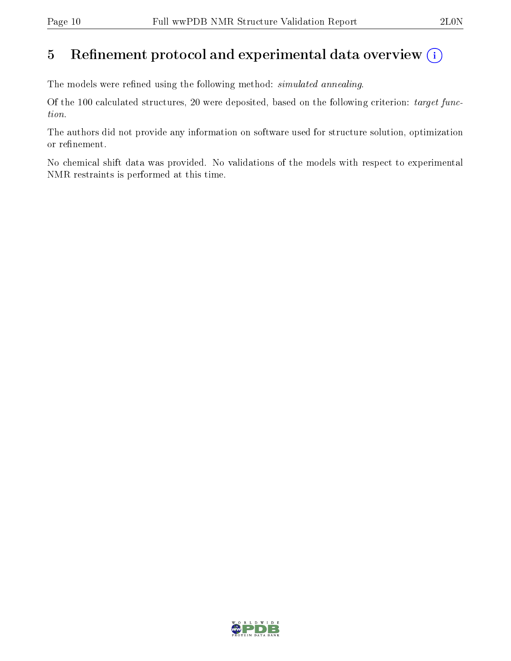## 5 Refinement protocol and experimental data overview  $(i)$

The models were refined using the following method: *simulated annealing*.

Of the 100 calculated structures, 20 were deposited, based on the following criterion: target function.

The authors did not provide any information on software used for structure solution, optimization or refinement.

No chemical shift data was provided. No validations of the models with respect to experimental NMR restraints is performed at this time.

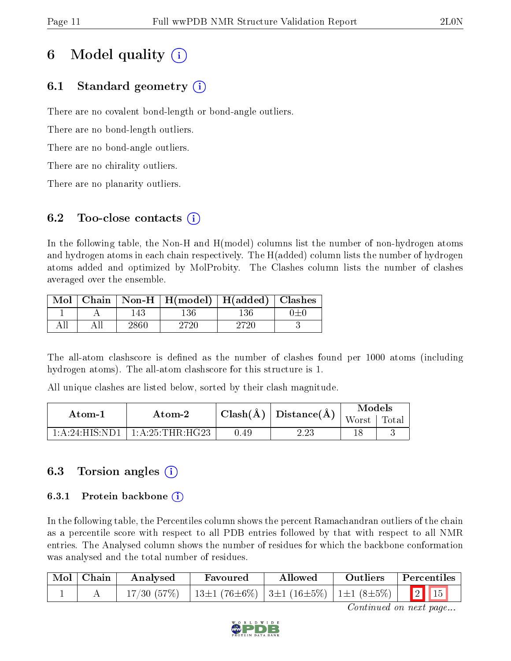# 6 Model quality  $(i)$

## 6.1 Standard geometry  $(i)$

There are no covalent bond-length or bond-angle outliers.

There are no bond-length outliers.

There are no bond-angle outliers.

There are no chirality outliers.

There are no planarity outliers.

## 6.2 Too-close contacts  $(i)$

In the following table, the Non-H and H(model) columns list the number of non-hydrogen atoms and hydrogen atoms in each chain respectively. The H(added) column lists the number of hydrogen atoms added and optimized by MolProbity. The Clashes column lists the number of clashes averaged over the ensemble.

|  | Mol   Chain   Non-H   H(model)   H(added)   Clashes |  |
|--|-----------------------------------------------------|--|
|  |                                                     |  |
|  |                                                     |  |

The all-atom clashscore is defined as the number of clashes found per 1000 atoms (including hydrogen atoms). The all-atom clashscore for this structure is 1.

All unique clashes are listed below, sorted by their clash magnitude.

| Atom-1 | Atom-2                               | $\frac{1}{2}$ Clash( $\rm \AA$ )   Distance( $\rm \AA$ ) $^{\prime}$ |      | Models        |  |
|--------|--------------------------------------|----------------------------------------------------------------------|------|---------------|--|
|        |                                      |                                                                      |      | Worst   Total |  |
|        | $1:A:24:HIS:ND1$   $1:A:25:THR:HG23$ | 0.49                                                                 | 2.23 |               |  |

## 6.3 Torsion angles (i)

### 6.3.1 Protein backbone  $(i)$

In the following table, the Percentiles column shows the percent Ramachandran outliers of the chain as a percentile score with respect to all PDB entries followed by that with respect to all NMR entries. The Analysed column shows the number of residues for which the backbone conformation was analysed and the total number of residues.

| Mol Chain | Analysed | Favoured                                                         | Allowed | Outliers | Percentiles |  |
|-----------|----------|------------------------------------------------------------------|---------|----------|-------------|--|
|           |          | $17/30$ (57%)   13±1 (76±6%)   3±1 (16±5%)   1±1 (8±5%)   2   15 |         |          |             |  |

Continued on next page...

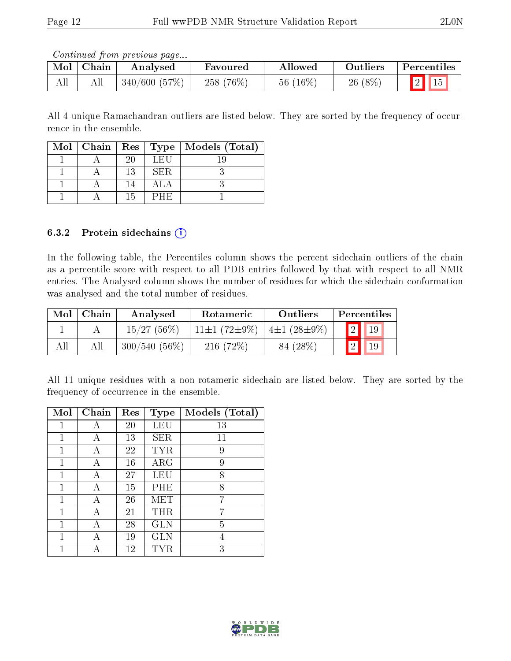Continued from previous page...

| Mol | Chain | Analysed     | Favoured    | Allowed     | <b>Outliers</b> | Percentiles    |
|-----|-------|--------------|-------------|-------------|-----------------|----------------|
| All | AЩ    | 340/600(57%) | $258(76\%)$ | 56 $(16\%)$ | $26(8\%)$       | $\sqrt{5}$ Hs. |

All 4 unique Ramachandran outliers are listed below. They are sorted by the frequency of occurrence in the ensemble.

|  |    |      | Mol   Chain   Res   Type   Models (Total) |
|--|----|------|-------------------------------------------|
|  | 20 | LEU  |                                           |
|  | 13 | SER. |                                           |
|  |    |      |                                           |
|  | 15 | PHE  |                                           |

#### 6.3.2 Protein sidechains  $(i)$

In the following table, the Percentiles column shows the percent sidechain outliers of the chain as a percentile score with respect to all PDB entries followed by that with respect to all NMR entries. The Analysed column shows the number of residues for which the sidechain conformation was analysed and the total number of residues.

| Mol | Chain | Analysed        | Rotameric                | Outliers          | Percentiles |
|-----|-------|-----------------|--------------------------|-------------------|-------------|
|     |       | 15/27(56%)      | 11 $\pm$ 1 (72 $\pm$ 9%) | $4\pm1(28\pm9\%)$ | 19          |
| All |       | $300/540(56\%)$ | $216(72\%)$              | 84 (28\%)         | 19          |

All 11 unique residues with a non-rotameric sidechain are listed below. They are sorted by the frequency of occurrence in the ensemble.

| Mol | Chain | Res | <b>Type</b> | Models (Total) |
|-----|-------|-----|-------------|----------------|
|     | А     | 20  | LEU         | 13             |
| 1   | А     | 13  | SER         | 11             |
| 1   | А     | 22  | <b>TYR</b>  | 9              |
| 1   | А     | 16  | $\rm{ARG}$  | 9              |
| 1   | А     | 27  | LEU         | 8              |
| 1   | А     | 15  | PHE         | 8              |
| 1   |       | 26  | MET         | 7              |
| 1   | А     | 21  | THR         | 7              |
| 1   |       | 28  | <b>GLN</b>  | 5              |
| 1   | А     | 19  | <b>GLN</b>  | 4              |
|     |       | 12  | TYR         | 3              |

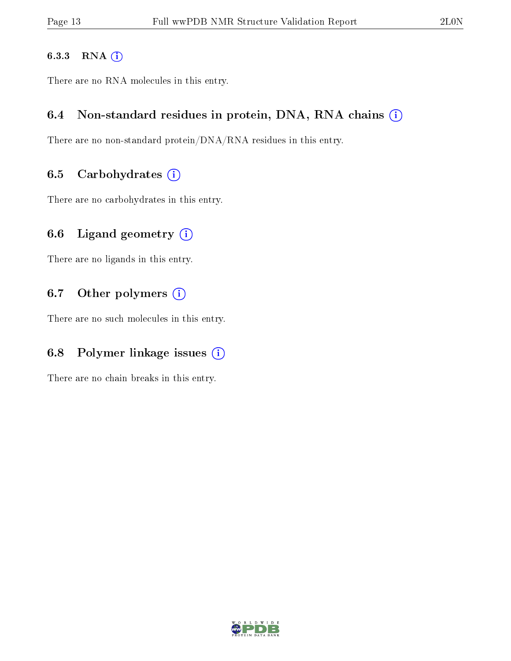#### 6.3.3 RNA [O](https://www.wwpdb.org/validation/2017/NMRValidationReportHelp#rna)i

There are no RNA molecules in this entry.

### 6.4 Non-standard residues in protein, DNA, RNA chains (i)

There are no non-standard protein/DNA/RNA residues in this entry.

### 6.5 Carbohydrates  $(i)$

There are no carbohydrates in this entry.

## 6.6 Ligand geometry  $(i)$

There are no ligands in this entry.

### 6.7 [O](https://www.wwpdb.org/validation/2017/NMRValidationReportHelp#nonstandard_residues_and_ligands)ther polymers (i)

There are no such molecules in this entry.

## 6.8 Polymer linkage issues  $(i)$

There are no chain breaks in this entry.